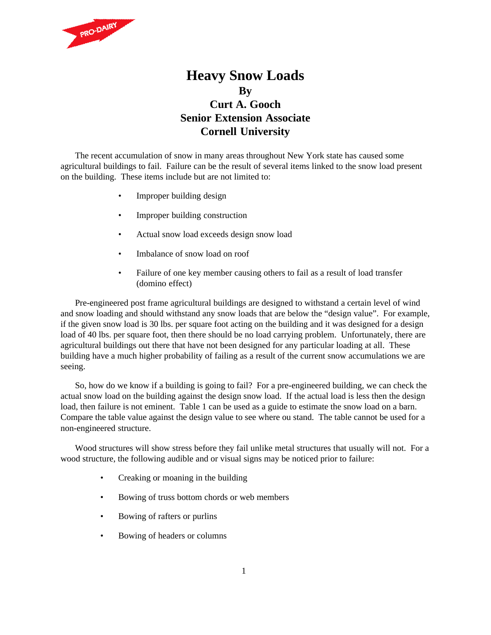

## **Heavy Snow Loads By Curt A. Gooch Senior Extension Associate Cornell University**

The recent accumulation of snow in many areas throughout New York state has caused some agricultural buildings to fail. Failure can be the result of several items linked to the snow load present on the building. These items include but are not limited to:

- Improper building design
- Improper building construction
- Actual snow load exceeds design snow load
- Imbalance of snow load on roof
- Failure of one key member causing others to fail as a result of load transfer (domino effect)

Pre-engineered post frame agricultural buildings are designed to withstand a certain level of wind and snow loading and should withstand any snow loads that are below the "design value". For example, if the given snow load is 30 lbs. per square foot acting on the building and it was designed for a design load of 40 lbs. per square foot, then there should be no load carrying problem. Unfortunately, there are agricultural buildings out there that have not been designed for any particular loading at all. These building have a much higher probability of failing as a result of the current snow accumulations we are seeing.

So, how do we know if a building is going to fail? For a pre-engineered building, we can check the actual snow load on the building against the design snow load. If the actual load is less then the design load, then failure is not eminent. Table 1 can be used as a guide to estimate the snow load on a barn. Compare the table value against the design value to see where ou stand. The table cannot be used for a non-engineered structure.

Wood structures will show stress before they fail unlike metal structures that usually will not. For a wood structure, the following audible and or visual signs may be noticed prior to failure:

- Creaking or moaning in the building
- Bowing of truss bottom chords or web members
- Bowing of rafters or purlins
- Bowing of headers or columns